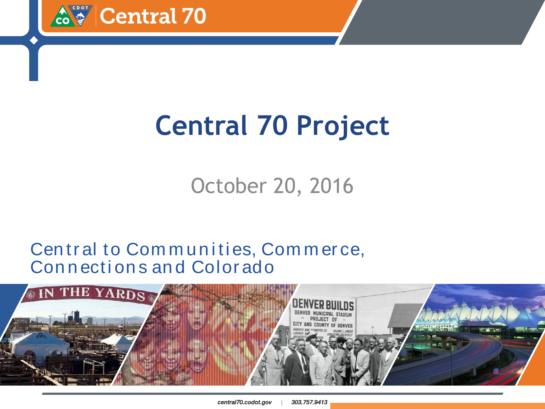

€

#### **Central 70 Project**

#### October 20, 2016

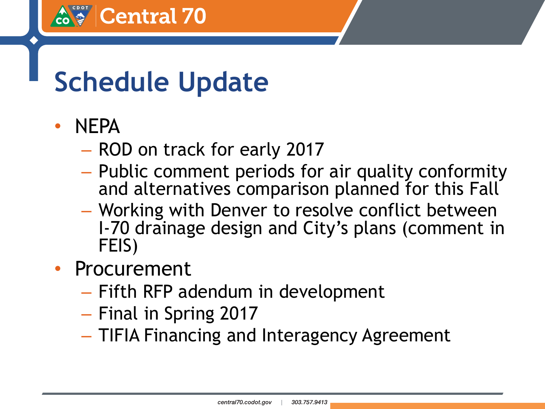

### **Schedule Update**

- NEPA
	- ROD on track for early 2017
	- Public comment periods for air quality conformity and alternatives comparison planned for this Fall
	- Working with Denver to resolve conflict between I-70 drainage design and City's plans (comment in FEIS)
- **Procurement** 
	- Fifth RFP adendum in development
	- Final in Spring 2017
	- TIFIA Financing and Interagency Agreement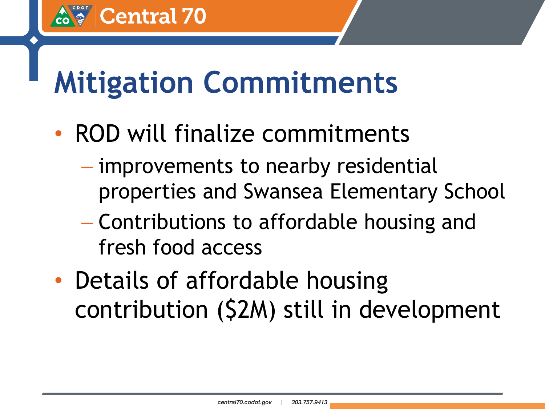![](_page_2_Picture_0.jpeg)

## **Mitigation Commitments**

- ROD will finalize commitments
	- improvements to nearby residential properties and Swansea Elementary School
	- Contributions to affordable housing and fresh food access
- Details of affordable housing contribution (\$2M) still in development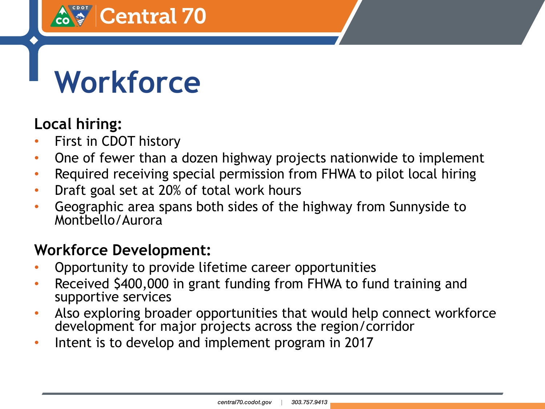![](_page_3_Picture_0.jpeg)

### **Workforce**

#### **Local hiring:**

- First in CDOT history
- One of fewer than a dozen highway projects nationwide to implement
- Required receiving special permission from FHWA to pilot local hiring
- Draft goal set at 20% of total work hours
- Geographic area spans both sides of the highway from Sunnyside to Montbello/Aurora

#### **Workforce Development:**

- Opportunity to provide lifetime career opportunities
- Received \$400,000 in grant funding from FHWA to fund training and supportive services
- Also exploring broader opportunities that would help connect workforce development for major projects across the region/corridor
- Intent is to develop and implement program in 2017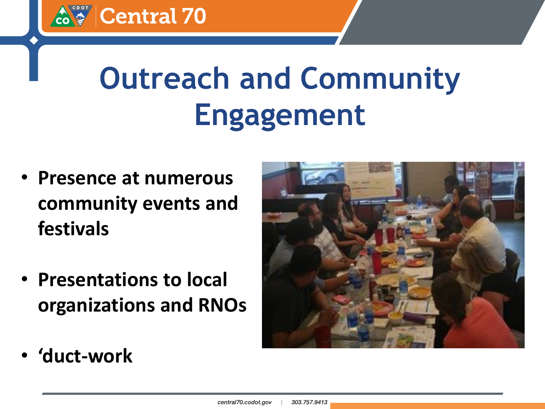![](_page_4_Picture_0.jpeg)

# **Outreach and Community Engagement**

- **Presence at numerous community events and festivals**
- **Presentations to local organizations and RNOs**

![](_page_4_Picture_4.jpeg)

• **'duct-work**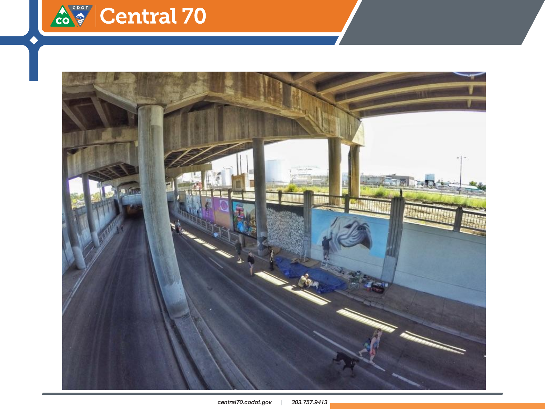![](_page_5_Picture_0.jpeg)

 $\blacklozenge$ 

![](_page_5_Picture_1.jpeg)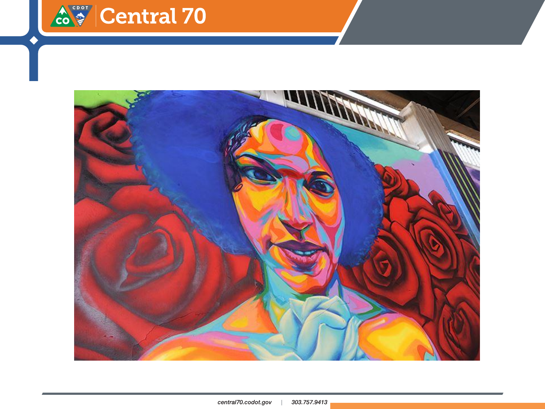![](_page_6_Picture_0.jpeg)

 $\blacklozenge$ 

![](_page_6_Picture_1.jpeg)